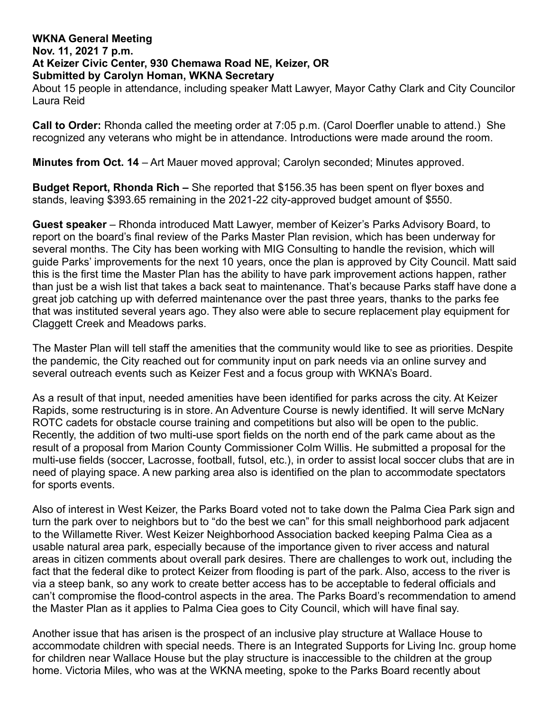## **WKNA General Meeting**

#### **Nov. 11, 2021 7 p.m.**

#### **At Keizer Civic Center, 930 Chemawa Road NE, Keizer, OR Submitted by Carolyn Homan, WKNA Secretary**

About 15 people in attendance, including speaker Matt Lawyer, Mayor Cathy Clark and City Councilor Laura Reid

**Call to Order:** Rhonda called the meeting order at 7:05 p.m. (Carol Doerfler unable to attend.) She recognized any veterans who might be in attendance. Introductions were made around the room.

**Minutes from Oct. 14** – Art Mauer moved approval; Carolyn seconded; Minutes approved.

**Budget Report, Rhonda Rich –** She reported that \$156.35 has been spent on flyer boxes and stands, leaving \$393.65 remaining in the 2021-22 city-approved budget amount of \$550.

**Guest speaker** – Rhonda introduced Matt Lawyer, member of Keizer's Parks Advisory Board, to report on the board's final review of the Parks Master Plan revision, which has been underway for several months. The City has been working with MIG Consulting to handle the revision, which will guide Parks' improvements for the next 10 years, once the plan is approved by City Council. Matt said this is the first time the Master Plan has the ability to have park improvement actions happen, rather than just be a wish list that takes a back seat to maintenance. That's because Parks staff have done a great job catching up with deferred maintenance over the past three years, thanks to the parks fee that was instituted several years ago. They also were able to secure replacement play equipment for Claggett Creek and Meadows parks.

The Master Plan will tell staff the amenities that the community would like to see as priorities. Despite the pandemic, the City reached out for community input on park needs via an online survey and several outreach events such as Keizer Fest and a focus group with WKNA's Board.

As a result of that input, needed amenities have been identified for parks across the city. At Keizer Rapids, some restructuring is in store. An Adventure Course is newly identified. It will serve McNary ROTC cadets for obstacle course training and competitions but also will be open to the public. Recently, the addition of two multi-use sport fields on the north end of the park came about as the result of a proposal from Marion County Commissioner Colm Willis. He submitted a proposal for the multi-use fields (soccer, Lacrosse, football, futsol, etc.), in order to assist local soccer clubs that are in need of playing space. A new parking area also is identified on the plan to accommodate spectators for sports events.

Also of interest in West Keizer, the Parks Board voted not to take down the Palma Ciea Park sign and turn the park over to neighbors but to "do the best we can" for this small neighborhood park adjacent to the Willamette River. West Keizer Neighborhood Association backed keeping Palma Ciea as a usable natural area park, especially because of the importance given to river access and natural areas in citizen comments about overall park desires. There are challenges to work out, including the fact that the federal dike to protect Keizer from flooding is part of the park. Also, access to the river is via a steep bank, so any work to create better access has to be acceptable to federal officials and can't compromise the flood-control aspects in the area. The Parks Board's recommendation to amend the Master Plan as it applies to Palma Ciea goes to City Council, which will have final say.

Another issue that has arisen is the prospect of an inclusive play structure at Wallace House to accommodate children with special needs. There is an Integrated Supports for Living Inc. group home for children near Wallace House but the play structure is inaccessible to the children at the group home. Victoria Miles, who was at the WKNA meeting, spoke to the Parks Board recently about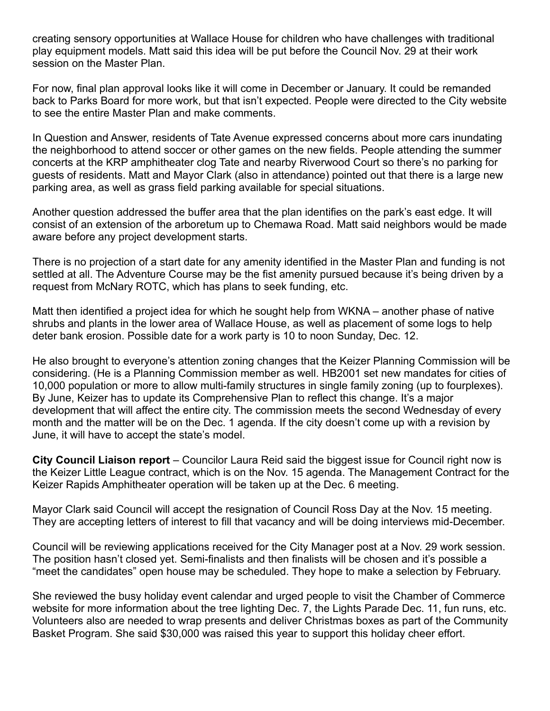creating sensory opportunities at Wallace House for children who have challenges with traditional play equipment models. Matt said this idea will be put before the Council Nov. 29 at their work session on the Master Plan.

For now, final plan approval looks like it will come in December or January. It could be remanded back to Parks Board for more work, but that isn't expected. People were directed to the City website to see the entire Master Plan and make comments.

In Question and Answer, residents of Tate Avenue expressed concerns about more cars inundating the neighborhood to attend soccer or other games on the new fields. People attending the summer concerts at the KRP amphitheater clog Tate and nearby Riverwood Court so there's no parking for guests of residents. Matt and Mayor Clark (also in attendance) pointed out that there is a large new parking area, as well as grass field parking available for special situations.

Another question addressed the buffer area that the plan identifies on the park's east edge. It will consist of an extension of the arboretum up to Chemawa Road. Matt said neighbors would be made aware before any project development starts.

There is no projection of a start date for any amenity identified in the Master Plan and funding is not settled at all. The Adventure Course may be the fist amenity pursued because it's being driven by a request from McNary ROTC, which has plans to seek funding, etc.

Matt then identified a project idea for which he sought help from WKNA – another phase of native shrubs and plants in the lower area of Wallace House, as well as placement of some logs to help deter bank erosion. Possible date for a work party is 10 to noon Sunday, Dec. 12.

He also brought to everyone's attention zoning changes that the Keizer Planning Commission will be considering. (He is a Planning Commission member as well. HB2001 set new mandates for cities of 10,000 population or more to allow multi-family structures in single family zoning (up to fourplexes). By June, Keizer has to update its Comprehensive Plan to reflect this change. It's a major development that will affect the entire city. The commission meets the second Wednesday of every month and the matter will be on the Dec. 1 agenda. If the city doesn't come up with a revision by June, it will have to accept the state's model.

**City Council Liaison report** – Councilor Laura Reid said the biggest issue for Council right now is the Keizer Little League contract, which is on the Nov. 15 agenda. The Management Contract for the Keizer Rapids Amphitheater operation will be taken up at the Dec. 6 meeting.

Mayor Clark said Council will accept the resignation of Council Ross Day at the Nov. 15 meeting. They are accepting letters of interest to fill that vacancy and will be doing interviews mid-December.

Council will be reviewing applications received for the City Manager post at a Nov. 29 work session. The position hasn't closed yet. Semi-finalists and then finalists will be chosen and it's possible a "meet the candidates" open house may be scheduled. They hope to make a selection by February.

She reviewed the busy holiday event calendar and urged people to visit the Chamber of Commerce website for more information about the tree lighting Dec. 7, the Lights Parade Dec. 11, fun runs, etc. Volunteers also are needed to wrap presents and deliver Christmas boxes as part of the Community Basket Program. She said \$30,000 was raised this year to support this holiday cheer effort.